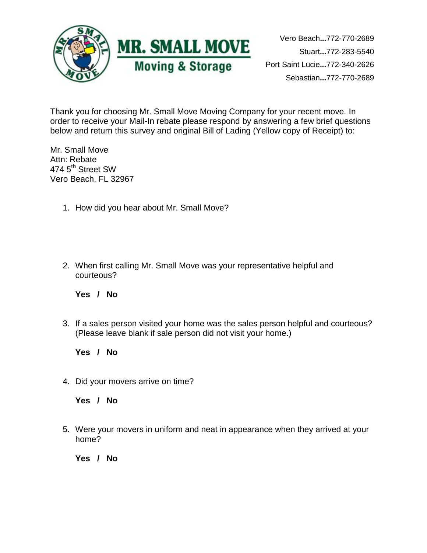

Vero Beach**...**772-770-2689 Stuart**...**772-283-5540 Port Saint Lucie**...**772-340-2626 Sebastian**...**772-770-2689

Thank you for choosing Mr. Small Move Moving Company for your recent move. In order to receive your Mail-In rebate please respond by answering a few brief questions below and return this survey and original Bill of Lading (Yellow copy of Receipt) to:

Mr. Small Move Attn: Rebate 474 5<sup>th</sup> Street SW Vero Beach, FL 32967

- 1. How did you hear about Mr. Small Move?
- 2. When first calling Mr. Small Move was your representative helpful and courteous?

**Yes / No**

3. If a sales person visited your home was the sales person helpful and courteous? (Please leave blank if sale person did not visit your home.)

**Yes / No**

4. Did your movers arrive on time?

**Yes / No**

5. Were your movers in uniform and neat in appearance when they arrived at your home?

**Yes / No**